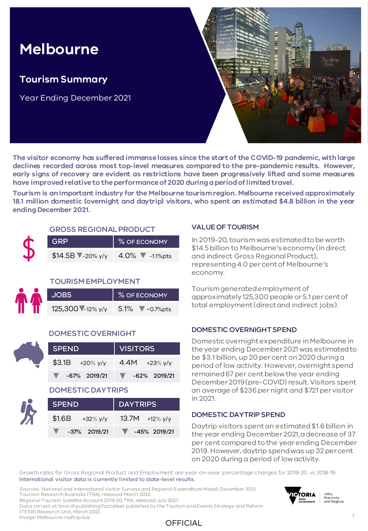# **Melbourne**

### **Tourism Summary**

Year Ending December 2021



**The visitor economy has suffered immenselosses since the start of the COVID-19 pandemic, withlarge declines recorded across most top-level measures compared to the pre-pandemic results. However, early signs of recovery are evident as restrictions have been progressively lifted and some measures have improvedrelativeto theperformanceof 2020 duringaperiodoflimitedtravel.**

**Tourism is animportant industry for the Melbourne tourismregion. Melbourne received approximately 18.1 million domestic (overnight and daytrip) visitors, who spent an estimated \$4.8 billion in the year endingDecember 2021.**

#### GROSS REGIONAL PRODUCT

| <b>GRP</b>          | $\frac{9}{2}$ OF ECONOMY            |  |  |  |  |
|---------------------|-------------------------------------|--|--|--|--|
| $$14.5B$ $20\%$ y/y | 4.0% $\blacktriangledown$ -1.1% pts |  |  |  |  |

#### TOURISM EMPLOYMENT

| <b>JOBS</b>      | % OF ECONOMY                             |  |  |  |  |
|------------------|------------------------------------------|--|--|--|--|
| 125,300 -12% y/y | $\blacktriangledown$ -0.7%pts<br>$5.1\%$ |  |  |  |  |

#### DOMESTIC OVERNIGHT

| <b>SPEND</b>                      | VISITORS              |  |  |  |  |  |
|-----------------------------------|-----------------------|--|--|--|--|--|
| $$3.1B$ +20% y/y                  | 4.4M $+23\%$ y/y      |  |  |  |  |  |
| $\blacktriangledown$ -67% 2019/21 | $\sqrt{62\%}$ 2019/21 |  |  |  |  |  |

#### DOMESTIC DAYTRIPS

| <b>SPEND</b>                      | DAYTRIPS              |  |  |  |  |
|-----------------------------------|-----------------------|--|--|--|--|
| $$1.6B$ +32% y/y                  | 13.7M $+12\%$ y/y     |  |  |  |  |
| $-37\%$ 2019/21<br>$\blacksquare$ | $\sqrt{45\%}$ 2019/21 |  |  |  |  |

#### VALUE OF TOURISM

In 2019-20, tourism was estimated to be worth \$14.5 billion to Melbourne's economy (in direct and indirect Gross Regional Product), representing 4.0 per cent of Melbourne's economy.

Tourism generated employment of approximately 125,300 people or 5.1 per cent of total employment (direct and indirect jobs).

#### DOMESTIC OVERNIGHT SPEND

Domestic overnight expenditure in Melbourne in the year ending December 2021 was estimated to be \$3.1 billion, up 20 per cent on 2020 during a period of low activity. However, overnight spend remained 67 per cent below the year ending December 2019 (pre-COVID) result. Visitors spent an average of \$236 per night and \$721 per visitor in 2021.

#### DOMESTIC DAYTRIP SPEND

Daytrip visitors spent an estimated \$1.6 billion in the year ending December 2021, a decrease of 37 per cent compared to the year ending December 2019. However, daytrip spend was up 32 per cent on 2020 during a period of low activity.

Growth rates for Gross Regional Product and Employment are year-on-year percentage changes for 2019-20 vs 2018-19. International visitor data is currently limited to state-level results.

Sources: National and International Visitor Surveys and Regional Expenditure Model, December 2021, Tourism Research Australia (TRA), released March 2022.

Regional Tourism Satellite Account 2019-20, TRA, released July 2021.

Data correct at time of publishing Factsheet published by the Tourism and Events Strategy and Reform (TESR) Research Unit, March 2022.

Image: Melbourne rooftop bar.





Jobs,<br>Precincts and Regions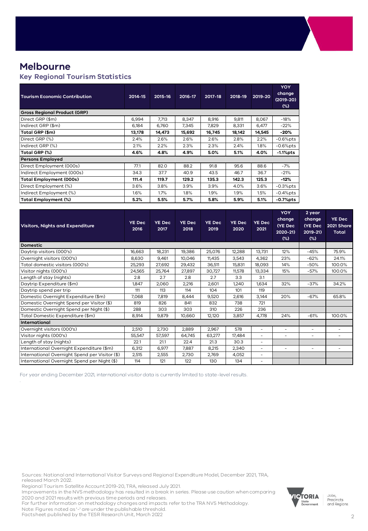### **Melbourne**

#### **Key Regional Tourism Statistics**

| <b>Tourism Economic Contribution</b> | 2014-15 | 2015-16 | 2016-17 | 2017-18 | 2018-19 | 2019-20 | <b>YOY</b><br>change<br>$(2019-20)$<br>$(\%)$ |
|--------------------------------------|---------|---------|---------|---------|---------|---------|-----------------------------------------------|
| <b>Gross Regional Product (GRP)</b>  |         |         |         |         |         |         |                                               |
| Direct GRP (\$m)                     | 6,994   | 7,713   | 8,347   | 8,916   | 9,811   | 8,067   | $-18%$                                        |
| Indirect GRP (\$m)                   | 6,184   | 6,760   | 7,345   | 7,829   | 8,331   | 6,477   | $-22%$                                        |
| Total GRP (\$m)                      | 13,178  | 14,473  | 15,692  | 16,745  | 18,142  | 14,545  | $-20%$                                        |
| Direct GRP (%)                       | 2.4%    | 2.6%    | 2.6%    | 2.6%    | 2.8%    | 2.2%    | $-0.6%$ pts                                   |
| Indirect GRP (%)                     | 2.1%    | 2.2%    | 2.3%    | 2.3%    | $2.4\%$ | 1.8%    | $-0.6%$ pts                                   |
| Total GRP (%)                        | 4.6%    | 4.8%    | 4.9%    | 5.0%    | 5.1%    | 4.0%    | $-1.1%$ pts                                   |
| <b>Persons Employed</b>              |         |         |         |         |         |         |                                               |
| Direct Employment (000s)             | 77.1    | 82.0    | 88.2    | 91.8    | 95.6    | 88.6    | $-7%$                                         |
| Indirect Employment (000s)           | 34.3    | 37.7    | 40.9    | 43.5    | 46.7    | 36.7    | $-21%$                                        |
| <b>Total Employment (000s)</b>       | 111.4   | 119.7   | 129.2   | 135.3   | 142.3   | 125.3   | $-12%$                                        |
| Direct Employment (%)                | 3.6%    | 3.8%    | 3.9%    | 3.9%    | 4.0%    | 3.6%    | $-0.3%$ pts                                   |
| Indirect Employment (%)              | 1.6%    | $1.7\%$ | $1.8\%$ | $1.9\%$ | $1.9\%$ | 1.5%    | $-0.4%$ pts                                   |
| Total Employment (%)                 | 5.2%    | 5.5%    | 5.7%    | 5.8%    | 5.9%    | 5.1%    | -0.7%pts                                      |

| <b>Visitors, Nights and Expenditure</b>        | <b>YE Dec</b><br>2016 | <b>YE Dec</b><br>2017 | <b>YE Dec</b><br>2018 | <b>YE Dec</b><br>2019 | <b>YE Dec</b><br>2020 | <b>YE Dec</b><br>2021    | <b>YOY</b><br>change<br>(YE Dec<br>$2020 - 21$<br>$(\%)$ | 2 year<br>change<br>(YE Dec<br>$2019 - 21$<br>$(\%)$ | <b>YE Dec</b><br>2021 Share<br><b>Total</b> |
|------------------------------------------------|-----------------------|-----------------------|-----------------------|-----------------------|-----------------------|--------------------------|----------------------------------------------------------|------------------------------------------------------|---------------------------------------------|
| <b>Domestic</b>                                |                       |                       |                       |                       |                       |                          |                                                          |                                                      |                                             |
| Daytrip visitors (000's)                       | 16,663                | 18,231                | 19,386                | 25,076                | 12,288                | 13,731                   | 12%                                                      | $-45%$                                               | 75.9%                                       |
| Overnight visitors (000's)                     | 8,630                 | 9,461                 | 10,046                | 11,435                | 3,543                 | 4,362                    | 23%                                                      | $-62%$                                               | 24.1%                                       |
| Total domestic visitors (000's)                | 25,293                | 27,692                | 29,432                | 36,511                | 15,831                | 18,093                   | 14%                                                      | $-50%$                                               | 100.0%                                      |
| Visitor nights (000's)                         | 24,565                | 25,764                | 27,897                | 30,727                | 11,578                | 13,334                   | 15%                                                      | $-57%$                                               | 100.0%                                      |
| Length of stay (nights)                        | 2.8                   | 2.7                   | 2.8                   | 2.7                   | 3.3                   | 3.1                      |                                                          |                                                      |                                             |
| Daytrip Expenditure (\$m)                      | 1.847                 | 2,060                 | 2,216                 | 2,601                 | 1,240                 | 1,634                    | 32%                                                      | $-37%$                                               | 34.2%                                       |
| Daytrip spend per trip                         | 111                   | 113                   | 114                   | 104                   | 101                   | 119                      |                                                          |                                                      |                                             |
| Domestic Overnight Expenditure (\$m)           | 7,068                 | 7,819                 | 8,444                 | 9,520                 | 2,616                 | 3.144                    | 20%                                                      | $-67%$                                               | 65.8%                                       |
| Domestic Overnight Spend per Visitor (\$)      | 819                   | 826                   | 841                   | 832                   | 738                   | 721                      |                                                          |                                                      |                                             |
| Domestic Overnight Spend per Night (\$)        | 288                   | 303                   | 303                   | 310                   | 226                   | 236                      |                                                          |                                                      |                                             |
| Total Domestic Expenditure (\$m)               | 8,914                 | 9,879                 | 10,660                | 12,120                | 3,857                 | 4,778                    | 24%                                                      | $-61%$                                               | 100.0%                                      |
| International                                  |                       |                       |                       |                       |                       |                          |                                                          |                                                      |                                             |
| Overnight visitors (000's)                     | 2,510                 | 2,730                 | 2,889                 | 2,967                 | 578                   | $\overline{\phantom{0}}$ | $\sim$                                                   | $\overline{\phantom{a}}$                             |                                             |
| Visitor nights (000's)                         | 55,547                | 57,597                | 64,745                | 63,277                | 17,484                | $\overline{\phantom{0}}$ | $\overline{a}$                                           | $\overline{\phantom{a}}$                             | $\overline{\phantom{a}}$                    |
| Length of stay (nights)                        | 22.1                  | 21.1                  | 22.4                  | 21.3                  | 30.3                  | -                        |                                                          |                                                      |                                             |
| International Overnight Expenditure (\$m)      | 6,312                 | 6,977                 | 7,887                 | 8,215                 | 2,340                 | ۰                        | $\overline{\phantom{a}}$                                 | $\overline{\phantom{a}}$                             |                                             |
| International Overnight Spend per Visitor (\$) | 2,515                 | 2,555                 | 2,730                 | 2,769                 | 4,052                 | -                        |                                                          |                                                      |                                             |
| International Overnight Spend per Night (\$)   | 114                   | 121                   | 122                   | 130                   | 134                   | ۰                        |                                                          |                                                      |                                             |

For year ending December 2021, international visitor data is currently limited to state-level results.

Sources: National and International Visitor Surveys and Regional Expenditure Model, December 2021, TRA, released March 2022.

Regional Tourism Satellite Account 2019-20, TRA, released July 2021.

Improvements in the NVS methodology has resulted in a break in series. Please use caution when comparing 2020 and 2021 results with previous time periods and releases.

For further information on methodology changes and impacts refer to the TRA NVS Methodology.

Note: Figures noted as '-' are under the publishable threshold. Factsheet published by the TESR Research Unit, March 2022